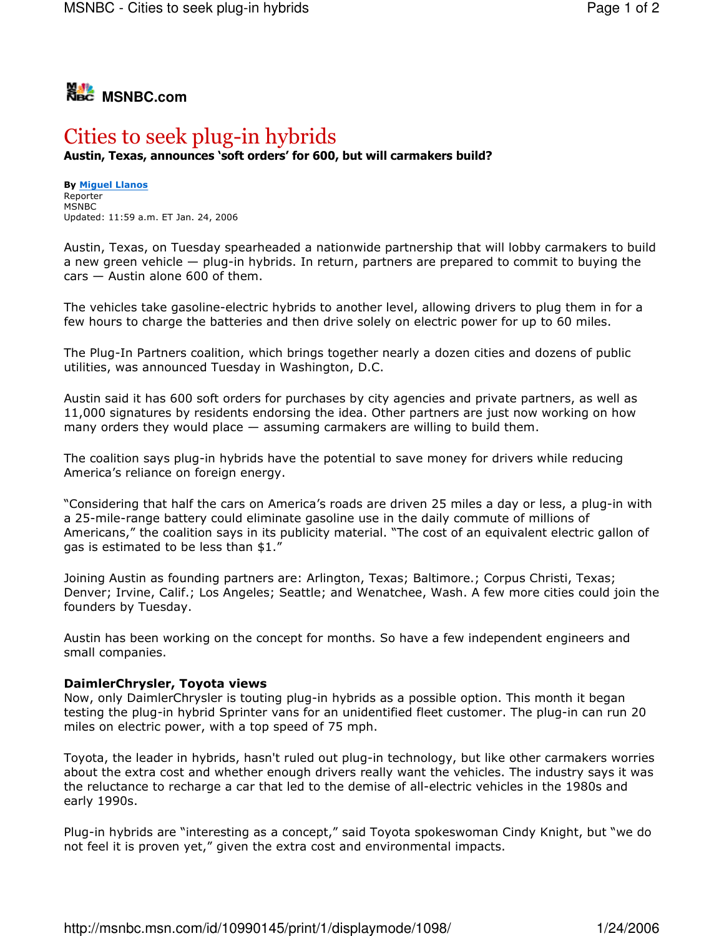

## Cities to seek plug-in hybrids Austin, Texas, announces 'soft orders' for 600, but will carmakers build?

**By Miguel Llanos** Reporter **MSNBC** Updated: 11:59 a.m. ET Jan. 24, 2006

Austin, Texas, on Tuesday spearheaded a nationwide partnership that will lobby carmakers to build a new green vehicle – plug-in hybrids. In return, partners are prepared to commit to buying the  $cars - Austin alone 600 of them.$ 

The vehicles take gasoline-electric hybrids to another level, allowing drivers to plug them in for a few hours to charge the batteries and then drive solely on electric power for up to 60 miles.

The Plug-In Partners coalition, which brings together nearly a dozen cities and dozens of public utilities, was announced Tuesday in Washington, D.C.

Austin said it has 600 soft orders for purchases by city agencies and private partners, as well as 11,000 signatures by residents endorsing the idea. Other partners are just now working on how many orders they would place  $-$  assuming carmakers are willing to build them.

The coalition says plug-in hybrids have the potential to save money for drivers while reducing America's reliance on foreign energy.

"Considering that half the cars on America's roads are driven 25 miles a day or less, a plug-in with a 25-mile-range battery could eliminate gasoline use in the daily commute of millions of Americans," the coalition says in its publicity material. "The cost of an equivalent electric gallon of qas is estimated to be less than \$1."

Joining Austin as founding partners are: Arlington, Texas; Baltimore.; Corpus Christi, Texas; Denver; Irvine, Calif.; Los Angeles; Seattle; and Wenatchee, Wash. A few more cities could join the founders by Tuesday.

Austin has been working on the concept for months. So have a few independent engineers and small companies.

## DaimlerChrysler, Toyota views

Now, only DaimlerChrysler is touting plug-in hybrids as a possible option. This month it began testing the plug-in hybrid Sprinter vans for an unidentified fleet customer. The plug-in can run 20 miles on electric power, with a top speed of 75 mph.

Toyota, the leader in hybrids, hasn't ruled out plug-in technology, but like other carmakers worries about the extra cost and whether enough drivers really want the vehicles. The industry says it was the reluctance to recharge a car that led to the demise of all-electric vehicles in the 1980s and early 1990s.

Plug-in hybrids are "interesting as a concept," said Toyota spokeswoman Cindy Knight, but "we do not feel it is proven yet," given the extra cost and environmental impacts.